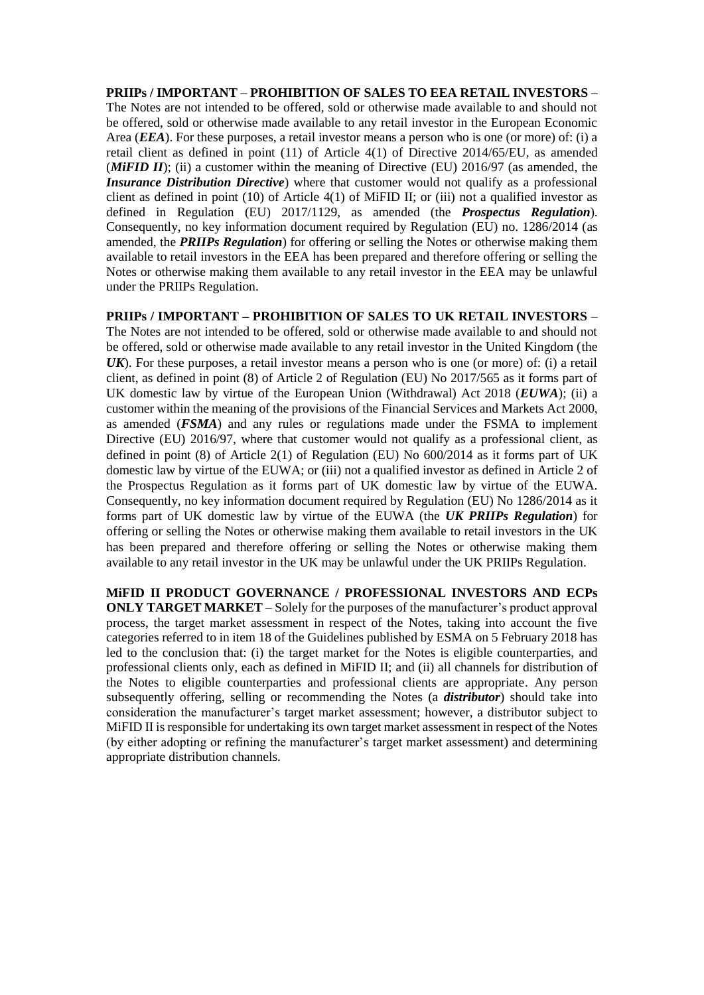**PRIIPs / IMPORTANT – PROHIBITION OF SALES TO EEA RETAIL INVESTORS –** The Notes are not intended to be offered, sold or otherwise made available to and should not be offered, sold or otherwise made available to any retail investor in the European Economic Area (*EEA*). For these purposes, a retail investor means a person who is one (or more) of: (i) a retail client as defined in point (11) of Article 4(1) of Directive 2014/65/EU, as amended (*MiFID II*); (ii) a customer within the meaning of Directive (EU) 2016/97 (as amended, the *Insurance Distribution Directive*) where that customer would not qualify as a professional client as defined in point (10) of Article 4(1) of MiFID II; or (iii) not a qualified investor as defined in Regulation (EU) 2017/1129, as amended (the *Prospectus Regulation*). Consequently, no key information document required by Regulation (EU) no. 1286/2014 (as amended, the *PRIIPs Regulation*) for offering or selling the Notes or otherwise making them available to retail investors in the EEA has been prepared and therefore offering or selling the Notes or otherwise making them available to any retail investor in the EEA may be unlawful under the PRIIPs Regulation.

**PRIIPs / IMPORTANT – PROHIBITION OF SALES TO UK RETAIL INVESTORS** – The Notes are not intended to be offered, sold or otherwise made available to and should not be offered, sold or otherwise made available to any retail investor in the United Kingdom (the *UK*). For these purposes, a retail investor means a person who is one (or more) of: (i) a retail client, as defined in point (8) of Article 2 of Regulation (EU) No 2017/565 as it forms part of UK domestic law by virtue of the European Union (Withdrawal) Act 2018 (*EUWA*); (ii) a customer within the meaning of the provisions of the Financial Services and Markets Act 2000, as amended (*FSMA*) and any rules or regulations made under the FSMA to implement Directive (EU) 2016/97, where that customer would not qualify as a professional client, as defined in point (8) of Article 2(1) of Regulation (EU) No 600/2014 as it forms part of UK domestic law by virtue of the EUWA; or (iii) not a qualified investor as defined in Article 2 of the Prospectus Regulation as it forms part of UK domestic law by virtue of the EUWA. Consequently, no key information document required by Regulation (EU) No 1286/2014 as it forms part of UK domestic law by virtue of the EUWA (the *UK PRIIPs Regulation*) for offering or selling the Notes or otherwise making them available to retail investors in the UK has been prepared and therefore offering or selling the Notes or otherwise making them available to any retail investor in the UK may be unlawful under the UK PRIIPs Regulation.

**MiFID II PRODUCT GOVERNANCE / PROFESSIONAL INVESTORS AND ECPs ONLY TARGET MARKET** – Solely for the purposes of the manufacturer's product approval process, the target market assessment in respect of the Notes, taking into account the five categories referred to in item 18 of the Guidelines published by ESMA on 5 February 2018 has led to the conclusion that: (i) the target market for the Notes is eligible counterparties, and professional clients only, each as defined in MiFID II; and (ii) all channels for distribution of the Notes to eligible counterparties and professional clients are appropriate. Any person subsequently offering, selling or recommending the Notes (a *distributor*) should take into consideration the manufacturer's target market assessment; however, a distributor subject to MiFID II is responsible for undertaking its own target market assessment in respect of the Notes (by either adopting or refining the manufacturer's target market assessment) and determining appropriate distribution channels.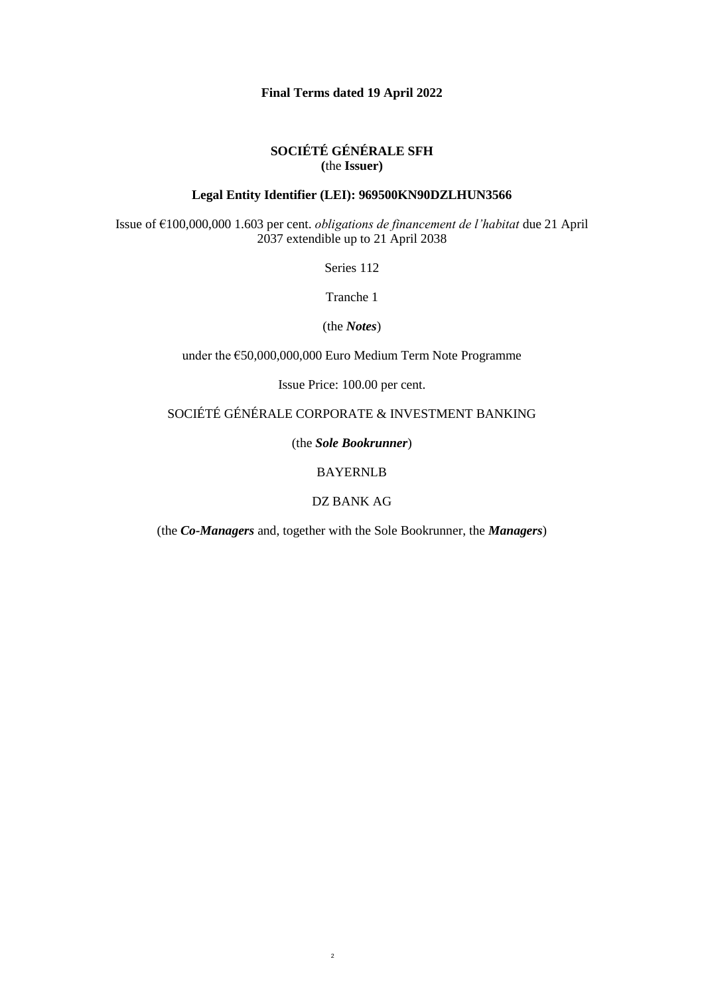## **Final Terms dated 19 April 2022**

# **SOCIÉTÉ GÉNÉRALE SFH (**the **Issuer)**

# **Legal Entity Identifier (LEI): 969500KN90DZLHUN3566**

Issue of €100,000,000 1.603 per cent. *obligations de financement de l'habitat* due 21 April 2037 extendible up to 21 April 2038

Series 112

Tranche 1

(the *Notes*)

under the €50,000,000,000 Euro Medium Term Note Programme

Issue Price: 100.00 per cent.

SOCIÉTÉ GÉNÉRALE CORPORATE & INVESTMENT BANKING

(the *Sole Bookrunner*)

BAYERNLB

DZ BANK AG

(the *Co-Managers* and, together with the Sole Bookrunner, the *Managers*)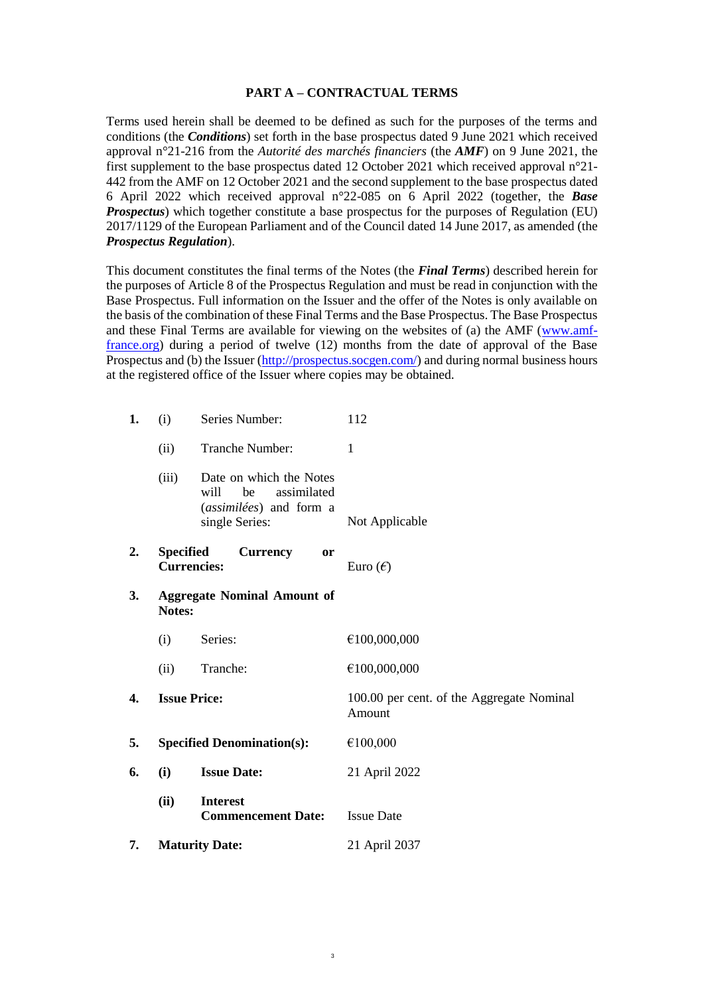### **PART A – CONTRACTUAL TERMS**

Terms used herein shall be deemed to be defined as such for the purposes of the terms and conditions (the *Conditions*) set forth in the base prospectus dated 9 June 2021 which received approval n°21-216 from the *Autorité des marchés financiers* (the *AMF*) on 9 June 2021, the first supplement to the base prospectus dated 12 October 2021 which received approval n°21- 442 from the AMF on 12 October 2021 and the second supplement to the base prospectus dated 6 April 2022 which received approval n°22-085 on 6 April 2022 (together, the *Base Prospectus*) which together constitute a base prospectus for the purposes of Regulation (EU) 2017/1129 of the European Parliament and of the Council dated 14 June 2017, as amended (the *Prospectus Regulation*).

This document constitutes the final terms of the Notes (the *Final Terms*) described herein for the purposes of Article 8 of the Prospectus Regulation and must be read in conjunction with the Base Prospectus. Full information on the Issuer and the offer of the Notes is only available on the basis of the combination of these Final Terms and the Base Prospectus. The Base Prospectus and these Final Terms are available for viewing on the websites of (a) the AMF [\(www.amf](http://www.amf-france.org/)[france.org\)](http://www.amf-france.org/) during a period of twelve (12) months from the date of approval of the Base Prospectus and (b) the Issuer [\(http://prospectus.socgen.com/\)](http://prospectus.socgen.com/) and during normal business hours at the registered office of the Issuer where copies may be obtained.

| 1. | Series Number:<br>(i)                               |                                                                                                   | 112                                                 |  |
|----|-----------------------------------------------------|---------------------------------------------------------------------------------------------------|-----------------------------------------------------|--|
|    | (ii)                                                | Tranche Number:                                                                                   | 1                                                   |  |
|    | (iii)                                               | Date on which the Notes<br>be<br>assimilated<br>will<br>(assimilées) and form a<br>single Series: | Not Applicable                                      |  |
| 2. | <b>Specified</b><br><b>Currencies:</b>              | <b>Currency</b><br><b>or</b>                                                                      | Euro $(\epsilon)$                                   |  |
| 3. | <b>Aggregate Nominal Amount of</b><br><b>Notes:</b> |                                                                                                   |                                                     |  |
|    | (i)                                                 | Series:                                                                                           | €100,000,000                                        |  |
|    | (ii)                                                | Tranche:                                                                                          | €100,000,000                                        |  |
| 4. | <b>Issue Price:</b>                                 |                                                                                                   | 100.00 per cent. of the Aggregate Nominal<br>Amount |  |
| 5. | <b>Specified Denomination(s):</b>                   |                                                                                                   | €100,000                                            |  |
| 6. | (i)<br><b>Issue Date:</b>                           |                                                                                                   | 21 April 2022                                       |  |
|    | (ii)                                                | <b>Interest</b><br><b>Commencement Date:</b>                                                      | <b>Issue Date</b>                                   |  |
| 7. | <b>Maturity Date:</b>                               |                                                                                                   | 21 April 2037                                       |  |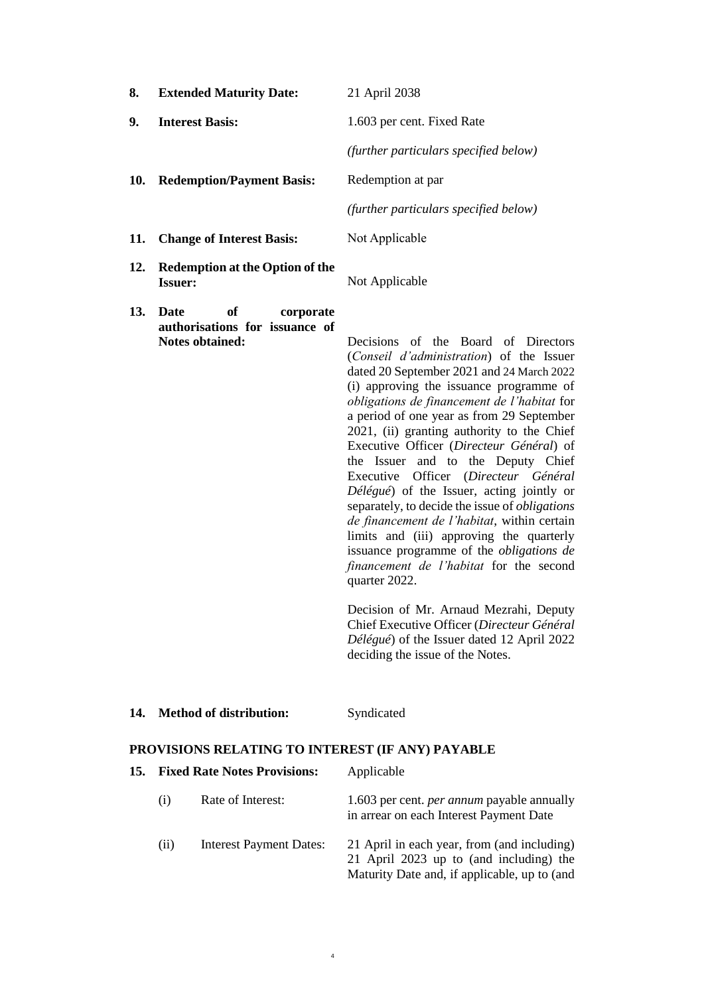| 8.  | <b>Extended Maturity Date:</b>                                                      | 21 April 2038                                                                                                                                                                                                                                                                                                                                                                                                                                                                                                                                                                                                                                                                                                                                                                                                                                                                                                                            |
|-----|-------------------------------------------------------------------------------------|------------------------------------------------------------------------------------------------------------------------------------------------------------------------------------------------------------------------------------------------------------------------------------------------------------------------------------------------------------------------------------------------------------------------------------------------------------------------------------------------------------------------------------------------------------------------------------------------------------------------------------------------------------------------------------------------------------------------------------------------------------------------------------------------------------------------------------------------------------------------------------------------------------------------------------------|
| 9.  | <b>Interest Basis:</b>                                                              | 1.603 per cent. Fixed Rate                                                                                                                                                                                                                                                                                                                                                                                                                                                                                                                                                                                                                                                                                                                                                                                                                                                                                                               |
|     |                                                                                     | (further particulars specified below)                                                                                                                                                                                                                                                                                                                                                                                                                                                                                                                                                                                                                                                                                                                                                                                                                                                                                                    |
| 10. | <b>Redemption/Payment Basis:</b>                                                    | Redemption at par                                                                                                                                                                                                                                                                                                                                                                                                                                                                                                                                                                                                                                                                                                                                                                                                                                                                                                                        |
|     |                                                                                     | (further particulars specified below)                                                                                                                                                                                                                                                                                                                                                                                                                                                                                                                                                                                                                                                                                                                                                                                                                                                                                                    |
| 11. | <b>Change of Interest Basis:</b>                                                    | Not Applicable                                                                                                                                                                                                                                                                                                                                                                                                                                                                                                                                                                                                                                                                                                                                                                                                                                                                                                                           |
| 12. | <b>Redemption at the Option of the</b><br><b>Issuer:</b>                            | Not Applicable                                                                                                                                                                                                                                                                                                                                                                                                                                                                                                                                                                                                                                                                                                                                                                                                                                                                                                                           |
| 13. | of<br>Date<br>corporate<br>authorisations for issuance of<br><b>Notes obtained:</b> | Decisions of the Board of Directors<br>(Conseil d'administration) of the Issuer<br>dated 20 September 2021 and 24 March 2022<br>(i) approving the issuance programme of<br>obligations de financement de l'habitat for<br>a period of one year as from 29 September<br>2021, (ii) granting authority to the Chief<br>Executive Officer (Directeur Général) of<br>the Deputy Chief<br>the Issuer and to<br>Executive Officer (Directeur Général<br>Délégué) of the Issuer, acting jointly or<br>separately, to decide the issue of <i>obligations</i><br>de financement de l'habitat, within certain<br>limits and (iii) approving the quarterly<br>issuance programme of the <i>obligations</i> de<br>financement de l'habitat for the second<br>quarter 2022.<br>Decision of Mr. Arnaud Mezrahi, Deputy<br>Chief Executive Officer (Directeur Général<br>Délégué) of the Issuer dated 12 April 2022<br>deciding the issue of the Notes. |

| 14. | <b>Method of distribution:</b> | Syndicated |
|-----|--------------------------------|------------|
|-----|--------------------------------|------------|

# **PROVISIONS RELATING TO INTEREST (IF ANY) PAYABLE**

| <b>15.</b> | <b>Fixed Rate Notes Provisions:</b> |                                | Applicable                                                                                                                             |
|------------|-------------------------------------|--------------------------------|----------------------------------------------------------------------------------------------------------------------------------------|
|            | (1)                                 | Rate of Interest:              | 1.603 per cent. <i>per annum</i> payable annually<br>in arrear on each Interest Payment Date                                           |
|            | (i)                                 | <b>Interest Payment Dates:</b> | 21 April in each year, from (and including)<br>21 April 2023 up to (and including) the<br>Maturity Date and, if applicable, up to (and |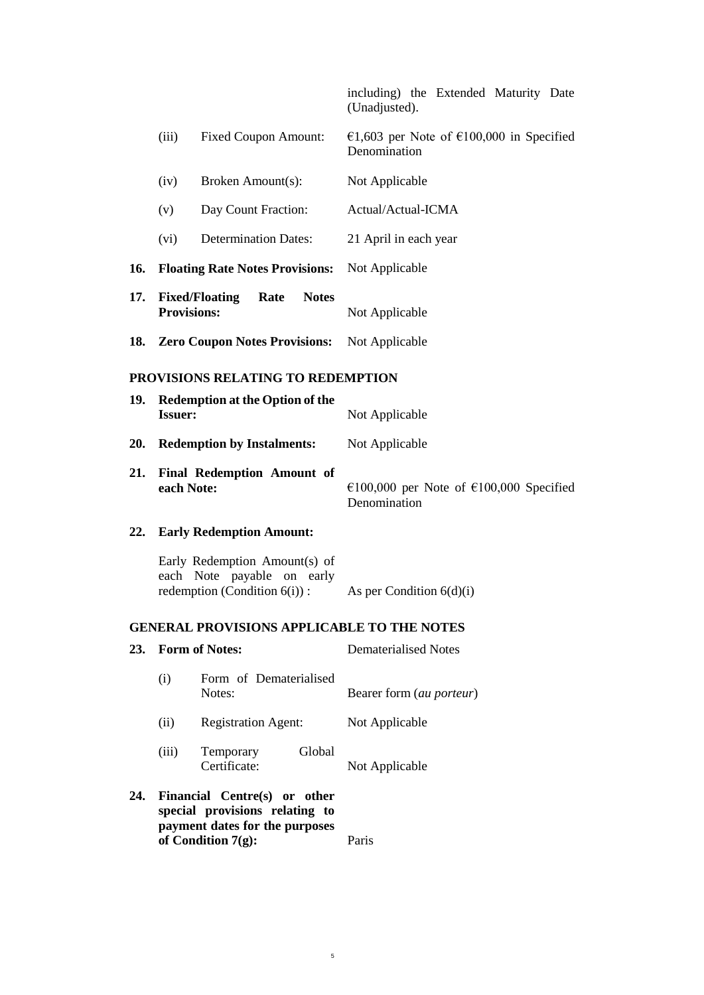including) the Extended Maturity Date (Unadjusted).

|                                   | (iii)<br><b>Fixed Coupon Amount:</b>                     |                                                                                                | €1,603 per Note of €100,000 in Specified<br>Denomination |  |
|-----------------------------------|----------------------------------------------------------|------------------------------------------------------------------------------------------------|----------------------------------------------------------|--|
|                                   | (iv)<br>Broken Amount(s):                                |                                                                                                | Not Applicable                                           |  |
|                                   | (v)                                                      | Day Count Fraction:                                                                            | Actual/Actual-ICMA                                       |  |
|                                   | (vi)                                                     | <b>Determination Dates:</b>                                                                    | 21 April in each year                                    |  |
| 16.                               |                                                          | <b>Floating Rate Notes Provisions:</b>                                                         | Not Applicable                                           |  |
| 17.                               | <b>Provisions:</b>                                       | <b>Fixed/Floating</b><br>Rate<br><b>Notes</b>                                                  | Not Applicable                                           |  |
| 18.                               |                                                          | <b>Zero Coupon Notes Provisions:</b>                                                           | Not Applicable                                           |  |
| PROVISIONS RELATING TO REDEMPTION |                                                          |                                                                                                |                                                          |  |
| 19.                               | <b>Redemption at the Option of the</b><br><b>Issuer:</b> |                                                                                                | Not Applicable                                           |  |
| 20.                               | <b>Redemption by Instalments:</b>                        |                                                                                                | Not Applicable                                           |  |
| 21.                               | each Note:                                               | <b>Final Redemption Amount of</b>                                                              | €100,000 per Note of €100,000 Specified<br>Denomination  |  |
| 22.                               |                                                          | <b>Early Redemption Amount:</b>                                                                |                                                          |  |
|                                   |                                                          | Early Redemption Amount(s) of<br>each Note payable on early<br>redemption (Condition $6(i)$ ): | As per Condition $6(d)(i)$                               |  |

# **GENERAL PROVISIONS APPLICABLE TO THE NOTES**

| 23. |       | <b>Form of Notes:</b>                                                                                                     | Dematerialised Notes     |  |
|-----|-------|---------------------------------------------------------------------------------------------------------------------------|--------------------------|--|
|     | (i)   | Form of Dematerialised<br>Notes:                                                                                          | Bearer form (au porteur) |  |
|     | (ii)  | <b>Registration Agent:</b>                                                                                                | Not Applicable           |  |
|     | (iii) | Global<br>Temporary<br>Certificate:                                                                                       | Not Applicable           |  |
| 24. |       | Financial Centre(s) or other<br>special provisions relating to<br>payment dates for the purposes<br>of Condition $7(g)$ : | Paris                    |  |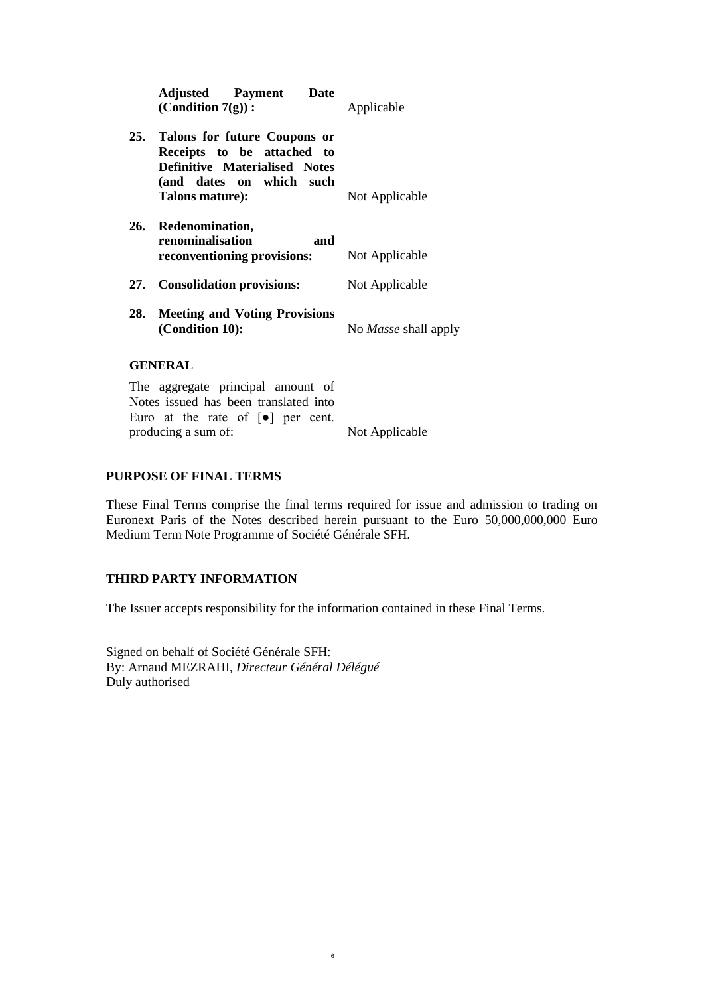| <b>Adjusted Payment Date</b><br>(Condition $7(g)$ ):                                                                                                  | Applicable           |
|-------------------------------------------------------------------------------------------------------------------------------------------------------|----------------------|
| 25. Talons for future Coupons or<br>Receipts to be attached to<br><b>Definitive Materialised Notes</b><br>(and dates on which such<br>Talons mature): | Not Applicable       |
| 26. Redenomination,<br>renominalisation<br>and<br><b>reconventioning provisions:</b> Not Applicable                                                   |                      |
| 27. Consolidation provisions:                                                                                                                         | Not Applicable       |
| 28. Meeting and Voting Provisions<br>(Condition 10):                                                                                                  | No Masse shall apply |
| <b>GENERAL</b>                                                                                                                                        |                      |
| The aggregate principal amount of<br>Notes issued has been translated into                                                                            |                      |

Notes issued has been translated into Euro at the rate of [●] per cent. producing a sum of: Not Applicable

# **PURPOSE OF FINAL TERMS**

These Final Terms comprise the final terms required for issue and admission to trading on Euronext Paris of the Notes described herein pursuant to the Euro 50,000,000,000 Euro Medium Term Note Programme of Société Générale SFH.

# **THIRD PARTY INFORMATION**

The Issuer accepts responsibility for the information contained in these Final Terms.

6

Signed on behalf of Société Générale SFH: By: Arnaud MEZRAHI, *Directeur Général Délégué* Duly authorised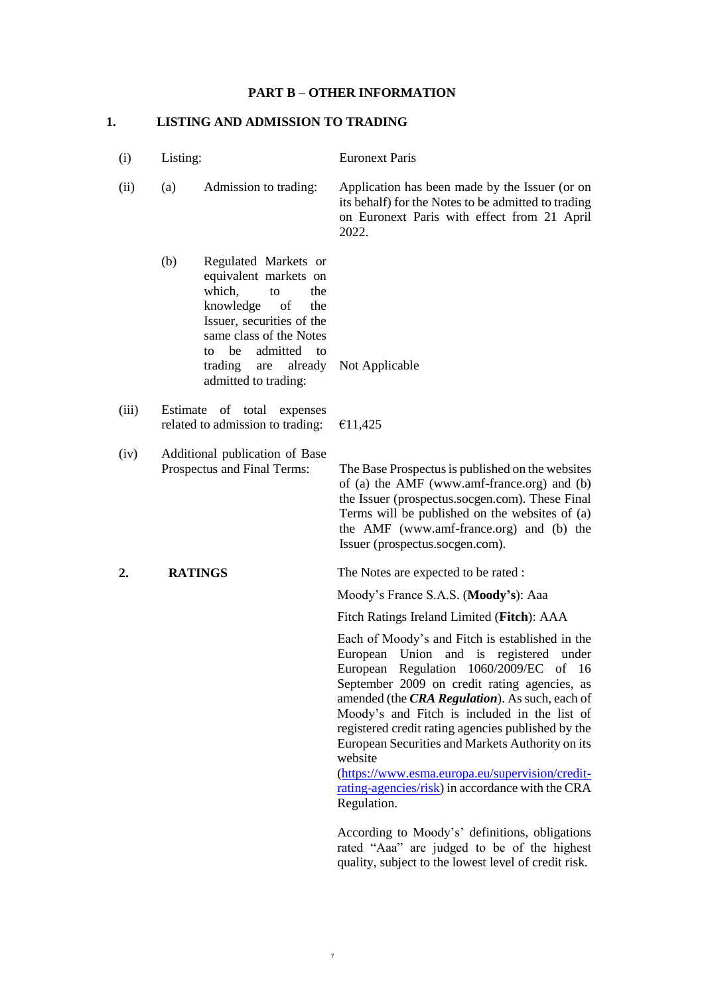### **PART B – OTHER INFORMATION**

# **1. LISTING AND ADMISSION TO TRADING**

(i) Listing: Euronext Paris (ii) (a) Admission to trading: Application has been made by the Issuer (or on its behalf) for the Notes to be admitted to trading on Euronext Paris with effect from 21 April 2022. (b) Regulated Markets or equivalent markets on which, to the knowledge of the Issuer, securities of the same class of the Notes to be admitted to trading are already admitted to trading: Not Applicable (iii) Estimate of total expenses related to admission to trading:  $\epsilon$ 11,425 (iv) Additional publication of Base Prospectus and Final Terms: The Base Prospectus is published on the websites of (a) the AMF (www.amf-france.org) and (b) the Issuer (prospectus.socgen.com). These Final Terms will be published on the websites of (a) the AMF (www.amf-france.org) and (b) the Issuer (prospectus.socgen.com). **2. RATINGS** The Notes are expected to be rated : Moody's France S.A.S. (**Moody's**): Aaa Fitch Ratings Ireland Limited (**Fitch**): AAA Each of Moody's and Fitch is established in the European Union and is registered under European Regulation 1060/2009/EC of 16 September 2009 on credit rating agencies, as amended (the *CRA Regulation*). As such, each of Moody's and Fitch is included in the list of registered credit rating agencies published by the European Securities and Markets Authority on its website [\(https://www.esma.europa.eu/supervision/credit](http://www.esma.europa.eu/page/List-registered-and-certified-CRAs)[rating-agencies/risk\)](http://www.esma.europa.eu/page/List-registered-and-certified-CRAs) in accordance with the CRA Regulation.

7

According to Moody's' definitions, obligations rated "Aaa" are judged to be of the highest quality, subject to the lowest level of credit risk.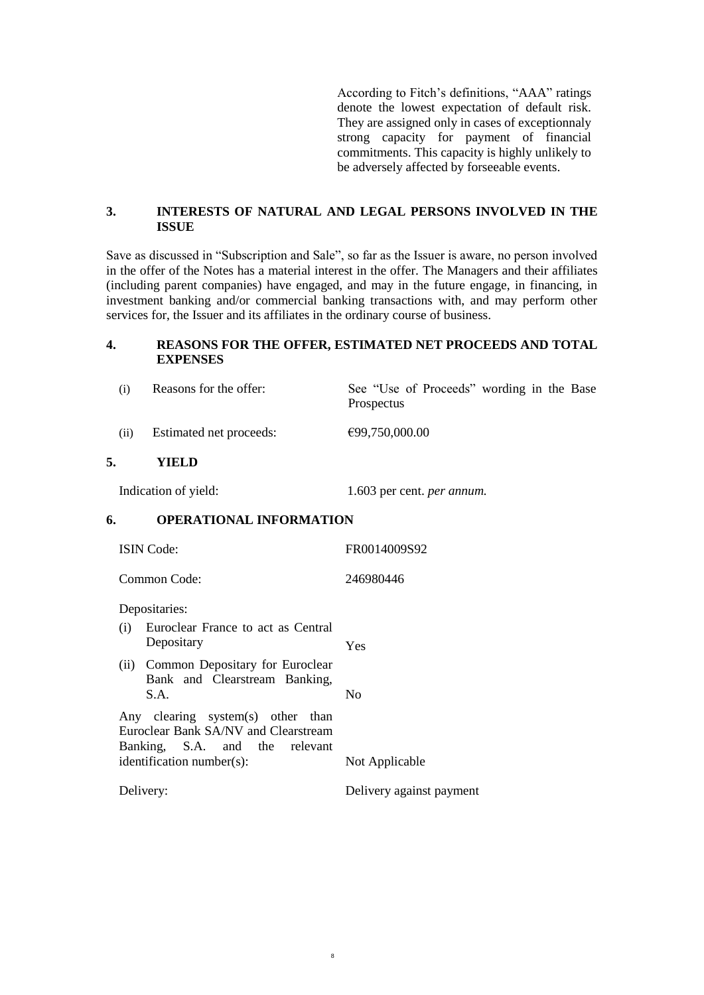According to Fitch's definitions, "AAA" ratings denote the lowest expectation of default risk. They are assigned only in cases of exceptionnaly strong capacity for payment of financial commitments. This capacity is highly unlikely to be adversely affected by forseeable events.

## **3. INTERESTS OF NATURAL AND LEGAL PERSONS INVOLVED IN THE ISSUE**

Save as discussed in "Subscription and Sale", so far as the Issuer is aware, no person involved in the offer of the Notes has a material interest in the offer. The Managers and their affiliates (including parent companies) have engaged, and may in the future engage, in financing, in investment banking and/or commercial banking transactions with, and may perform other services for, the Issuer and its affiliates in the ordinary course of business.

## **4. REASONS FOR THE OFFER, ESTIMATED NET PROCEEDS AND TOTAL EXPENSES**

|    | (i)  | Reasons for the offer:                                                          | See "Use of Proceeds" wording in the Base<br>Prospectus |
|----|------|---------------------------------------------------------------------------------|---------------------------------------------------------|
|    | (ii) | Estimated net proceeds:                                                         | €99,750,000.00                                          |
| 5. |      | YIELD                                                                           |                                                         |
|    |      | Indication of yield:                                                            | 1.603 per cent. <i>per annum</i> .                      |
| 6. |      | <b>OPERATIONAL INFORMATION</b>                                                  |                                                         |
|    |      | <b>ISIN Code:</b>                                                               | FR0014009S92                                            |
|    |      | Common Code:                                                                    | 246980446                                               |
|    |      | Depositaries:                                                                   |                                                         |
|    | (i)  | Euroclear France to act as Central<br>Depositary                                | Yes                                                     |
|    | (ii) | Common Depositary for Euroclear<br>Bank and Clearstream Banking,<br>S.A.        | No                                                      |
|    |      | the contract of the contract of the contract of the contract of the contract of |                                                         |

8

Any clearing system(s) other than Euroclear Bank SA/NV and Clearstream Banking, S.A. and the relevant identification number(s): Not Applicable

Delivery: Delivery against payment